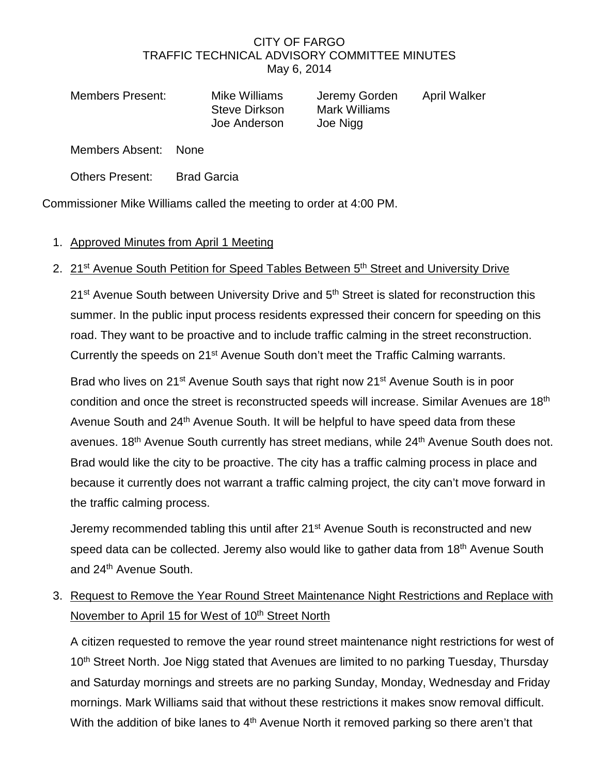## CITY OF FARGO TRAFFIC TECHNICAL ADVISORY COMMITTEE MINUTES May 6, 2014

Members Present: Mike Williams Jeremy Gorden April Walker Joe Anderson Joe Nigg

Steve Dirkson Mark Williams

Members Absent: None

Others Present: Brad Garcia

Commissioner Mike Williams called the meeting to order at 4:00 PM.

## 1. Approved Minutes from April 1 Meeting

## 2. 21<sup>st</sup> Avenue South Petition for Speed Tables Between 5<sup>th</sup> Street and University Drive

21<sup>st</sup> Avenue South between University Drive and 5<sup>th</sup> Street is slated for reconstruction this summer. In the public input process residents expressed their concern for speeding on this road. They want to be proactive and to include traffic calming in the street reconstruction. Currently the speeds on 21<sup>st</sup> Avenue South don't meet the Traffic Calming warrants.

Brad who lives on 21<sup>st</sup> Avenue South says that right now 21<sup>st</sup> Avenue South is in poor condition and once the street is reconstructed speeds will increase. Similar Avenues are 18th Avenue South and 24<sup>th</sup> Avenue South. It will be helpful to have speed data from these avenues. 18<sup>th</sup> Avenue South currently has street medians, while 24<sup>th</sup> Avenue South does not. Brad would like the city to be proactive. The city has a traffic calming process in place and because it currently does not warrant a traffic calming project, the city can't move forward in the traffic calming process.

Jeremy recommended tabling this until after 21<sup>st</sup> Avenue South is reconstructed and new speed data can be collected. Jeremy also would like to gather data from 18<sup>th</sup> Avenue South and 24<sup>th</sup> Avenue South.

3. Request to Remove the Year Round Street Maintenance Night Restrictions and Replace with November to April 15 for West of 10<sup>th</sup> Street North

A citizen requested to remove the year round street maintenance night restrictions for west of 10<sup>th</sup> Street North. Joe Nigg stated that Avenues are limited to no parking Tuesday, Thursday and Saturday mornings and streets are no parking Sunday, Monday, Wednesday and Friday mornings. Mark Williams said that without these restrictions it makes snow removal difficult. With the addition of bike lanes to 4<sup>th</sup> Avenue North it removed parking so there aren't that